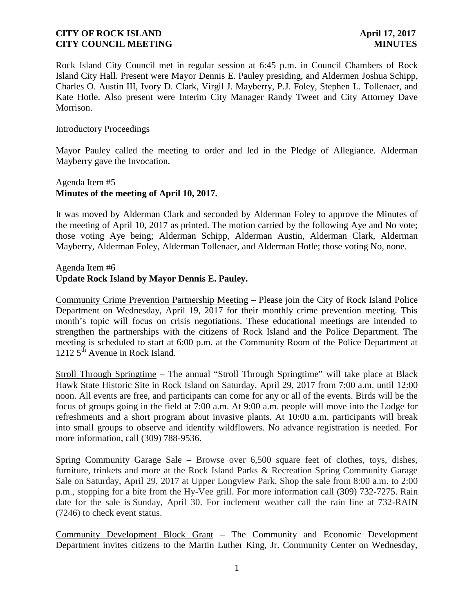Rock Island City Council met in regular session at 6:45 p.m. in Council Chambers of Rock Island City Hall. Present were Mayor Dennis E. Pauley presiding, and Aldermen Joshua Schipp, Charles O. Austin III, Ivory D. Clark, Virgil J. Mayberry, P.J. Foley, Stephen L. Tollenaer, and Kate Hotle. Also present were Interim City Manager Randy Tweet and City Attorney Dave Morrison.

#### Introductory Proceedings

Mayor Pauley called the meeting to order and led in the Pledge of Allegiance. Alderman Mayberry gave the Invocation.

# Agenda Item #5 **Minutes of the meeting of April 10, 2017.**

It was moved by Alderman Clark and seconded by Alderman Foley to approve the Minutes of the meeting of April 10, 2017 as printed. The motion carried by the following Aye and No vote; those voting Aye being; Alderman Schipp, Alderman Austin, Alderman Clark, Alderman Mayberry, Alderman Foley, Alderman Tollenaer, and Alderman Hotle; those voting No, none.

Agenda Item #6

# **Update Rock Island by Mayor Dennis E. Pauley.**

Community Crime Prevention Partnership Meeting – Please join the City of Rock Island Police Department on Wednesday, April 19, 2017 for their monthly crime prevention meeting. This month's topic will focus on crisis negotiations. These educational meetings are intended to strengthen the partnerships with the citizens of Rock Island and the Police Department. The meeting is scheduled to start at 6:00 p.m. at the Community Room of the Police Department at 1212  $5^{\text{th}}$  Avenue in Rock Island.

Stroll Through Springtime – The annual "Stroll Through Springtime" will take place at Black Hawk State Historic Site in Rock Island on Saturday, April 29, 2017 from 7:00 a.m. until 12:00 noon. All events are free, and participants can come for any or all of the events. Birds will be the focus of groups going in the field at 7:00 a.m. At 9:00 a.m. people will move into the Lodge for refreshments and a short program about invasive plants. At 10:00 a.m. participants will break into small groups to observe and identify wildflowers. No advance registration is needed. For more information, call (309) 788-9536.

Spring Community Garage Sale – Browse over 6,500 square feet of clothes, toys, dishes, furniture, trinkets and more at the Rock Island Parks & Recreation Spring Community Garage Sale on Saturday, April 29, 2017 at Upper Longview Park. Shop the sale from 8:00 a.m. to 2:00 p.m., stopping for a bite from the Hy-Vee grill. For more information call (309) 732-7275. Rain date for the sale is Sunday, April 30. For inclement weather call the rain line at 732-RAIN (7246) to check event status.

Community Development Block Grant – The Community and Economic Development Department invites citizens to the Martin Luther King, Jr. Community Center on Wednesday,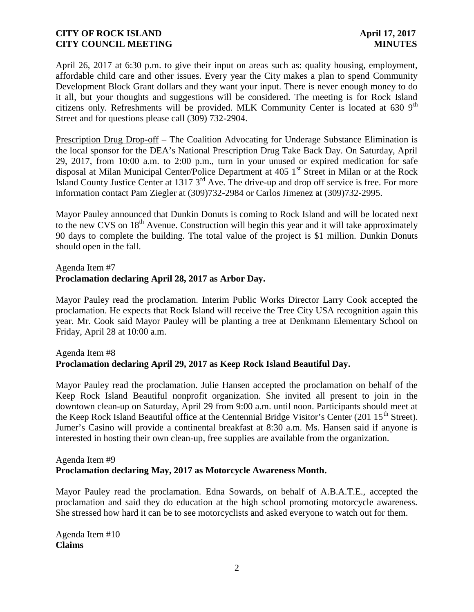April 26, 2017 at 6:30 p.m. to give their input on areas such as: quality housing, employment, affordable child care and other issues. Every year the City makes a plan to spend Community Development Block Grant dollars and they want your input. There is never enough money to do it all, but your thoughts and suggestions will be considered. The meeting is for Rock Island citizens only. Refreshments will be provided. MLK Community Center is located at  $630.9<sup>th</sup>$ Street and for questions please call (309) 732-2904.

Prescription Drug Drop-off – The Coalition Advocating for Underage Substance Elimination is the local sponsor for the DEA's National Prescription Drug Take Back Day. On Saturday, April 29, 2017, from 10:00 a.m. to 2:00 p.m., turn in your unused or expired medication for safe disposal at Milan Municipal Center/Police Department at 405 1<sup>st</sup> Street in Milan or at the Rock Island County Justice Center at 1317 3rd Ave. The drive-up and drop off service is free. For more information contact Pam Ziegler at (309)732-2984 or Carlos Jimenez at (309)732-2995.

Mayor Pauley announced that Dunkin Donuts is coming to Rock Island and will be located next to the new CVS on 18<sup>th</sup> Avenue. Construction will begin this year and it will take approximately 90 days to complete the building. The total value of the project is \$1 million. Dunkin Donuts should open in the fall.

### Agenda Item #7

# **Proclamation declaring April 28, 2017 as Arbor Day.**

Mayor Pauley read the proclamation. Interim Public Works Director Larry Cook accepted the proclamation. He expects that Rock Island will receive the Tree City USA recognition again this year. Mr. Cook said Mayor Pauley will be planting a tree at Denkmann Elementary School on Friday, April 28 at 10:00 a.m.

# Agenda Item #8 **Proclamation declaring April 29, 2017 as Keep Rock Island Beautiful Day.**

Mayor Pauley read the proclamation. Julie Hansen accepted the proclamation on behalf of the Keep Rock Island Beautiful nonprofit organization. She invited all present to join in the downtown clean-up on Saturday, April 29 from 9:00 a.m. until noon. Participants should meet at the Keep Rock Island Beautiful office at the Centennial Bridge Visitor's Center (201 15<sup>th</sup> Street). Jumer's Casino will provide a continental breakfast at 8:30 a.m. Ms. Hansen said if anyone is interested in hosting their own clean-up, free supplies are available from the organization.

#### Agenda Item #9 **Proclamation declaring May, 2017 as Motorcycle Awareness Month.**

Mayor Pauley read the proclamation. Edna Sowards, on behalf of A.B.A.T.E., accepted the proclamation and said they do education at the high school promoting motorcycle awareness. She stressed how hard it can be to see motorcyclists and asked everyone to watch out for them.

Agenda Item #10 **Claims**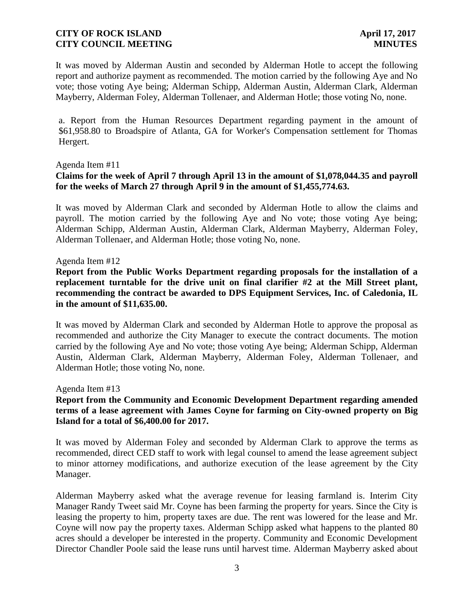It was moved by Alderman Austin and seconded by Alderman Hotle to accept the following report and authorize payment as recommended. The motion carried by the following Aye and No vote; those voting Aye being; Alderman Schipp, Alderman Austin, Alderman Clark, Alderman Mayberry, Alderman Foley, Alderman Tollenaer, and Alderman Hotle; those voting No, none.

a. Report from the Human Resources Department regarding payment in the amount of \$61,958.80 to Broadspire of Atlanta, GA for Worker's Compensation settlement for Thomas Hergert.

#### Agenda Item #11

# **Claims for the week of April 7 through April 13 in the amount of \$1,078,044.35 and payroll for the weeks of March 27 through April 9 in the amount of \$1,455,774.63.**

It was moved by Alderman Clark and seconded by Alderman Hotle to allow the claims and payroll. The motion carried by the following Aye and No vote; those voting Aye being; Alderman Schipp, Alderman Austin, Alderman Clark, Alderman Mayberry, Alderman Foley, Alderman Tollenaer, and Alderman Hotle; those voting No, none.

#### Agenda Item #12

**Report from the Public Works Department regarding proposals for the installation of a replacement turntable for the drive unit on final clarifier #2 at the Mill Street plant, recommending the contract be awarded to DPS Equipment Services, Inc. of Caledonia, IL in the amount of \$11,635.00.**

It was moved by Alderman Clark and seconded by Alderman Hotle to approve the proposal as recommended and authorize the City Manager to execute the contract documents. The motion carried by the following Aye and No vote; those voting Aye being; Alderman Schipp, Alderman Austin, Alderman Clark, Alderman Mayberry, Alderman Foley, Alderman Tollenaer, and Alderman Hotle; those voting No, none.

Agenda Item #13

# **Report from the Community and Economic Development Department regarding amended terms of a lease agreement with James Coyne for farming on City-owned property on Big Island for a total of \$6,400.00 for 2017.**

It was moved by Alderman Foley and seconded by Alderman Clark to approve the terms as recommended, direct CED staff to work with legal counsel to amend the lease agreement subject to minor attorney modifications, and authorize execution of the lease agreement by the City Manager.

Alderman Mayberry asked what the average revenue for leasing farmland is. Interim City Manager Randy Tweet said Mr. Coyne has been farming the property for years. Since the City is leasing the property to him, property taxes are due. The rent was lowered for the lease and Mr. Coyne will now pay the property taxes. Alderman Schipp asked what happens to the planted 80 acres should a developer be interested in the property. Community and Economic Development Director Chandler Poole said the lease runs until harvest time. Alderman Mayberry asked about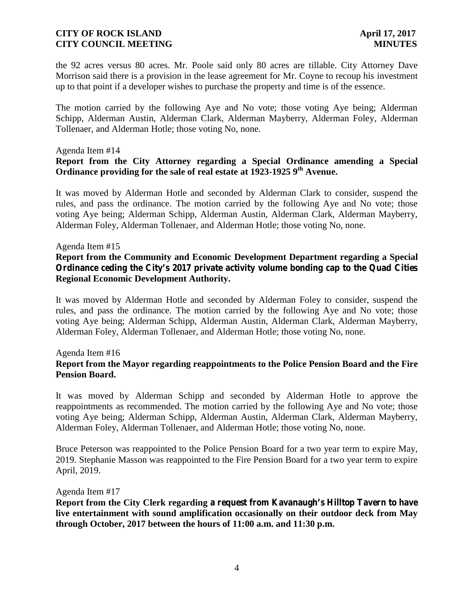the 92 acres versus 80 acres. Mr. Poole said only 80 acres are tillable. City Attorney Dave Morrison said there is a provision in the lease agreement for Mr. Coyne to recoup his investment up to that point if a developer wishes to purchase the property and time is of the essence.

The motion carried by the following Aye and No vote; those voting Aye being; Alderman Schipp, Alderman Austin, Alderman Clark, Alderman Mayberry, Alderman Foley, Alderman Tollenaer, and Alderman Hotle; those voting No, none.

#### Agenda Item #14

## **Report from the City Attorney regarding a Special Ordinance amending a Special Ordinance providing for the sale of real estate at 1923-1925 9th Avenue.**

It was moved by Alderman Hotle and seconded by Alderman Clark to consider, suspend the rules, and pass the ordinance. The motion carried by the following Aye and No vote; those voting Aye being; Alderman Schipp, Alderman Austin, Alderman Clark, Alderman Mayberry, Alderman Foley, Alderman Tollenaer, and Alderman Hotle; those voting No, none.

#### Agenda Item #15

# **Report from the Community and Economic Development Department regarding a Special Ordinance ceding the City's 2017 private activity volume bonding cap to the Quad Cities Regional Economic Development Authority.**

It was moved by Alderman Hotle and seconded by Alderman Foley to consider, suspend the rules, and pass the ordinance. The motion carried by the following Aye and No vote; those voting Aye being; Alderman Schipp, Alderman Austin, Alderman Clark, Alderman Mayberry, Alderman Foley, Alderman Tollenaer, and Alderman Hotle; those voting No, none.

#### Agenda Item #16

# **Report from the Mayor regarding reappointments to the Police Pension Board and the Fire Pension Board.**

It was moved by Alderman Schipp and seconded by Alderman Hotle to approve the reappointments as recommended. The motion carried by the following Aye and No vote; those voting Aye being; Alderman Schipp, Alderman Austin, Alderman Clark, Alderman Mayberry, Alderman Foley, Alderman Tollenaer, and Alderman Hotle; those voting No, none.

Bruce Peterson was reappointed to the Police Pension Board for a two year term to expire May, 2019. Stephanie Masson was reappointed to the Fire Pension Board for a two year term to expire April, 2019.

#### Agenda Item #17

**Report from the City Clerk regarding a request from Kavanaugh's Hilltop Tavern to have live entertainment with sound amplification occasionally on their outdoor deck from May through October, 2017 between the hours of 11:00 a.m. and 11:30 p.m.**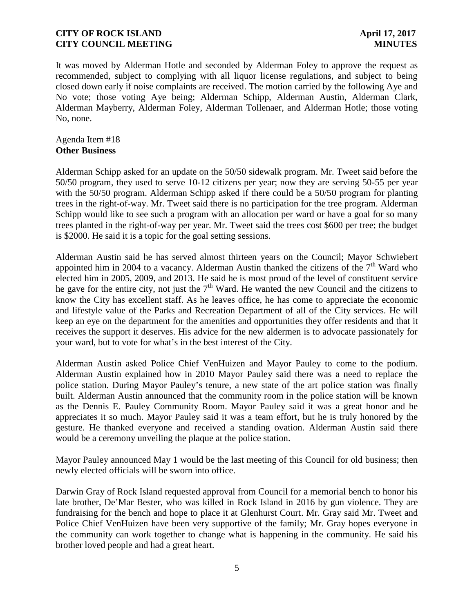It was moved by Alderman Hotle and seconded by Alderman Foley to approve the request as recommended, subject to complying with all liquor license regulations, and subject to being closed down early if noise complaints are received. The motion carried by the following Aye and No vote; those voting Aye being; Alderman Schipp, Alderman Austin, Alderman Clark, Alderman Mayberry, Alderman Foley, Alderman Tollenaer, and Alderman Hotle; those voting No, none.

#### Agenda Item #18 **Other Business**

Alderman Schipp asked for an update on the 50/50 sidewalk program. Mr. Tweet said before the 50/50 program, they used to serve 10-12 citizens per year; now they are serving 50-55 per year with the 50/50 program. Alderman Schipp asked if there could be a 50/50 program for planting trees in the right-of-way. Mr. Tweet said there is no participation for the tree program. Alderman Schipp would like to see such a program with an allocation per ward or have a goal for so many trees planted in the right-of-way per year. Mr. Tweet said the trees cost \$600 per tree; the budget is \$2000. He said it is a topic for the goal setting sessions.

Alderman Austin said he has served almost thirteen years on the Council; Mayor Schwiebert appointed him in 2004 to a vacancy. Alderman Austin thanked the citizens of the  $7<sup>th</sup>$  Ward who elected him in 2005, 2009, and 2013. He said he is most proud of the level of constituent service he gave for the entire city, not just the  $7<sup>th</sup>$  Ward. He wanted the new Council and the citizens to know the City has excellent staff. As he leaves office, he has come to appreciate the economic and lifestyle value of the Parks and Recreation Department of all of the City services. He will keep an eye on the department for the amenities and opportunities they offer residents and that it receives the support it deserves. His advice for the new aldermen is to advocate passionately for your ward, but to vote for what's in the best interest of the City.

Alderman Austin asked Police Chief VenHuizen and Mayor Pauley to come to the podium. Alderman Austin explained how in 2010 Mayor Pauley said there was a need to replace the police station. During Mayor Pauley's tenure, a new state of the art police station was finally built. Alderman Austin announced that the community room in the police station will be known as the Dennis E. Pauley Community Room. Mayor Pauley said it was a great honor and he appreciates it so much. Mayor Pauley said it was a team effort, but he is truly honored by the gesture. He thanked everyone and received a standing ovation. Alderman Austin said there would be a ceremony unveiling the plaque at the police station.

Mayor Pauley announced May 1 would be the last meeting of this Council for old business; then newly elected officials will be sworn into office.

Darwin Gray of Rock Island requested approval from Council for a memorial bench to honor his late brother, De'Mar Bester, who was killed in Rock Island in 2016 by gun violence. They are fundraising for the bench and hope to place it at Glenhurst Court. Mr. Gray said Mr. Tweet and Police Chief VenHuizen have been very supportive of the family; Mr. Gray hopes everyone in the community can work together to change what is happening in the community. He said his brother loved people and had a great heart.